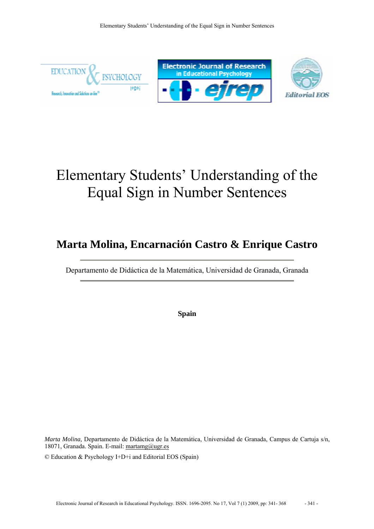

# Elementary Students' Understanding of the Equal Sign in Number Sentences

## **Marta Molina, Encarnación Castro & Enrique Castro**

Departamento de Didáctica de la Matemática, Universidad de Granada, Granada

**Spain** 

*Marta Molina,* Departamento de Didáctica de la Matemática, Universidad de Granada, Campus de Cartuja s/n, 18071, Granada. Spain. E-mail: martamg@ugr.es

© Education & Psychology I+D+i and Editorial EOS (Spain)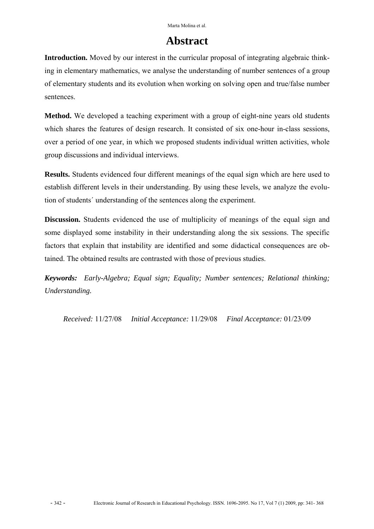### **Abstract**

**Introduction.** Moved by our interest in the curricular proposal of integrating algebraic thinking in elementary mathematics, we analyse the understanding of number sentences of a group of elementary students and its evolution when working on solving open and true/false number sentences.

**Method.** We developed a teaching experiment with a group of eight-nine years old students which shares the features of design research. It consisted of six one-hour in-class sessions, over a period of one year, in which we proposed students individual written activities, whole group discussions and individual interviews.

**Results.** Students evidenced four different meanings of the equal sign which are here used to establish different levels in their understanding. By using these levels, we analyze the evolution of students´ understanding of the sentences along the experiment.

**Discussion.** Students evidenced the use of multiplicity of meanings of the equal sign and some displayed some instability in their understanding along the six sessions. The specific factors that explain that instability are identified and some didactical consequences are obtained. The obtained results are contrasted with those of previous studies.

*Keywords: Early-Algebra; Equal sign; Equality; Number sentences; Relational thinking; Understanding.*

*Received:* 11/27/08 *Initial Acceptance:* 11/29/08 *Final Acceptance:* 01/23/09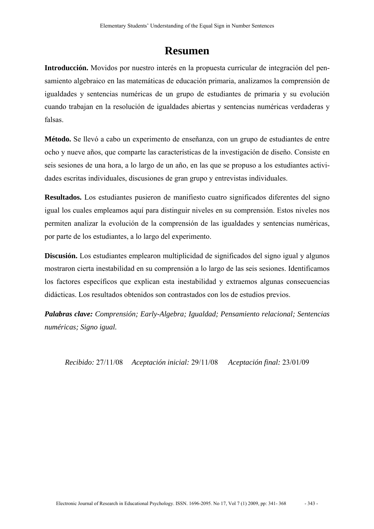### **Resumen**

**Introducción.** Movidos por nuestro interés en la propuesta curricular de integración del pensamiento algebraico en las matemáticas de educación primaria, analizamos la comprensión de igualdades y sentencias numéricas de un grupo de estudiantes de primaria y su evolución cuando trabajan en la resolución de igualdades abiertas y sentencias numéricas verdaderas y falsas.

**Método.** Se llevó a cabo un experimento de enseñanza, con un grupo de estudiantes de entre ocho y nueve años, que comparte las características de la investigación de diseño. Consiste en seis sesiones de una hora, a lo largo de un año, en las que se propuso a los estudiantes actividades escritas individuales, discusiones de gran grupo y entrevistas individuales.

**Resultados.** Los estudiantes pusieron de manifiesto cuatro significados diferentes del signo igual los cuales empleamos aquí para distinguir niveles en su comprensión. Estos niveles nos permiten analizar la evolución de la comprensión de las igualdades y sentencias numéricas, por parte de los estudiantes, a lo largo del experimento.

**Discusión.** Los estudiantes emplearon multiplicidad de significados del signo igual y algunos mostraron cierta inestabilidad en su comprensión a lo largo de las seis sesiones. Identificamos los factores específicos que explican esta inestabilidad y extraemos algunas consecuencias didácticas. Los resultados obtenidos son contrastados con los de estudios previos.

*Palabras clave: Comprensión; Early-Algebra; Igualdad; Pensamiento relacional; Sentencias numéricas; Signo igual.*

*Recibido:* 27/11/08 *Aceptación inicial:* 29/11/08 *Aceptación final:* 23/01/09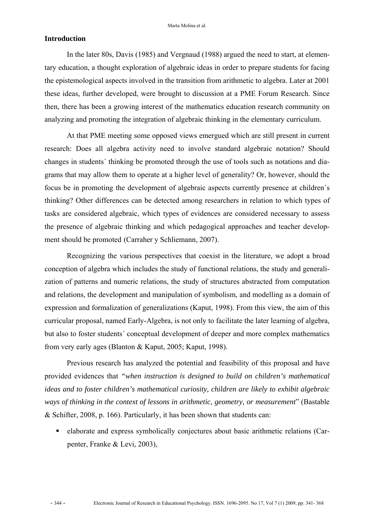#### **Introduction**

In the later 80s, Davis (1985) and Vergnaud (1988) argued the need to start, at elementary education, a thought exploration of algebraic ideas in order to prepare students for facing the epistemological aspects involved in the transition from arithmetic to algebra. Later at 2001 these ideas, further developed, were brought to discussion at a PME Forum Research. Since then, there has been a growing interest of the mathematics education research community on analyzing and promoting the integration of algebraic thinking in the elementary curriculum.

At that PME meeting some opposed views emergued which are still present in current research: Does all algebra activity need to involve standard algebraic notation? Should changes in students´ thinking be promoted through the use of tools such as notations and diagrams that may allow them to operate at a higher level of generality? Or, however, should the focus be in promoting the development of algebraic aspects currently presence at children´s thinking? Other differences can be detected among researchers in relation to which types of tasks are considered algebraic, which types of evidences are considered necessary to assess the presence of algebraic thinking and which pedagogical approaches and teacher development should be promoted (Carraher y Schliemann, 2007).

Recognizing the various perspectives that coexist in the literature, we adopt a broad conception of algebra which includes the study of functional relations, the study and generalization of patterns and numeric relations, the study of structures abstracted from computation and relations, the development and manipulation of symbolism, and modelling as a domain of expression and formalization of generalizations (Kaput, 1998). From this view, the aim of this curricular proposal, named Early-Algebra, is not only to facilitate the later learning of algebra, but also to foster students´ conceptual development of deeper and more complex mathematics from very early ages (Blanton & Kaput, 2005; Kaput, 1998).

Previous research has analyzed the potential and feasibility of this proposal and have provided evidences that *"when instruction is designed to build on children's mathematical ideas and to foster children's mathematical curiosity, children are likely to exhibit algebraic ways of thinking in the context of lessons in arithmetic, geometry, or measurement*" (Bastable & Schifter, 2008, p. 166). Particularly, it has been shown that students can:

 elaborate and express symbolically conjectures about basic arithmetic relations (Carpenter, Franke & Levi, 2003),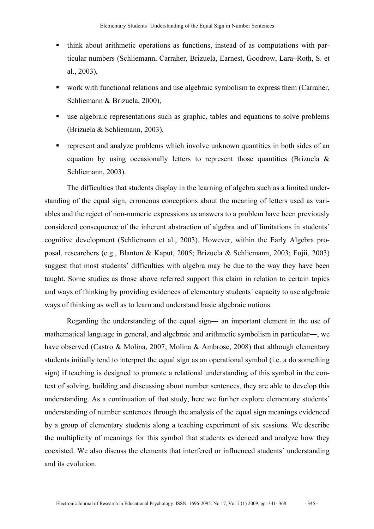- think about arithmetic operations as functions, instead of as computations with particular numbers (Schliemann, Carraher, Brizuela, Earnest, Goodrow, Lara–Roth, S. et al., 2003),
- work with functional relations and use algebraic symbolism to express them (Carraher, Schliemann & Brizuela, 2000),
- use algebraic representations such as graphic, tables and equations to solve problems (Brizuela & Schliemann, 2003),
- represent and analyze problems which involve unknown quantities in both sides of an equation by using occasionally letters to represent those quantities (Brizuela & Schliemann, 2003).

The difficulties that students display in the learning of algebra such as a limited understanding of the equal sign, erroneous conceptions about the meaning of letters used as variables and the reject of non-numeric expressions as answers to a problem have been previously considered consequence of the inherent abstraction of algebra and of limitations in students´ cognitive development (Schliemann et al., 2003). However, within the Early Algebra proposal, researchers (e.g., Blanton & Kaput, 2005; Brizuela & Schliemann, 2003; Fujii, 2003) suggest that most students' difficulties with algebra may be due to the way they have been taught. Some studies as those above referred support this claim in relation to certain topics and ways of thinking by providing evidences of elementary students´ capacity to use algebraic ways of thinking as well as to learn and understand basic algebraic notions.

Regarding the understanding of the equal sign― an important element in the use of mathematical language in general, and algebraic and arithmetic symbolism in particular―, we have observed (Castro & Molina, 2007; Molina & Ambrose, 2008) that although elementary students initially tend to interpret the equal sign as an operational symbol (i.e. a do something sign) if teaching is designed to promote a relational understanding of this symbol in the context of solving, building and discussing about number sentences, they are able to develop this understanding. As a continuation of that study, here we further explore elementary students´ understanding of number sentences through the analysis of the equal sign meanings evidenced by a group of elementary students along a teaching experiment of six sessions. We describe the multiplicity of meanings for this symbol that students evidenced and analyze how they coexisted. We also discuss the elements that interfered or influenced students´ understanding and its evolution.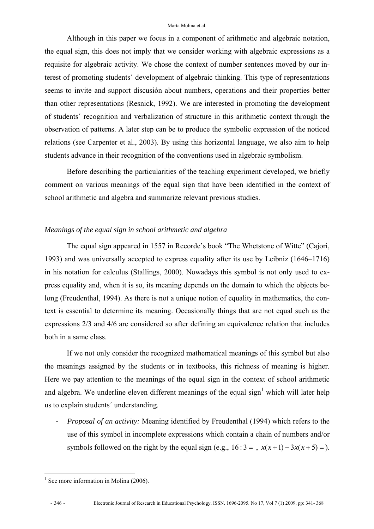Although in this paper we focus in a component of arithmetic and algebraic notation, the equal sign, this does not imply that we consider working with algebraic expressions as a requisite for algebraic activity. We chose the context of number sentences moved by our interest of promoting students´ development of algebraic thinking. This type of representations seems to invite and support discusión about numbers, operations and their properties better than other representations (Resnick, 1992). We are interested in promoting the development of students´ recognition and verbalization of structure in this arithmetic context through the observation of patterns. A later step can be to produce the symbolic expression of the noticed relations (see Carpenter et al., 2003). By using this horizontal language, we also aim to help students advance in their recognition of the conventions used in algebraic symbolism.

Before describing the particularities of the teaching experiment developed, we briefly comment on various meanings of the equal sign that have been identified in the context of school arithmetic and algebra and summarize relevant previous studies.

#### *Meanings of the equal sign in school arithmetic and algebra*

The equal sign appeared in 1557 in Recorde's book "The Whetstone of Witte" (Cajori, 1993) and was universally accepted to express equality after its use by Leibniz (1646–1716) in his notation for calculus (Stallings, 2000). Nowadays this symbol is not only used to express equality and, when it is so, its meaning depends on the domain to which the objects belong (Freudenthal, 1994). As there is not a unique notion of equality in mathematics, the context is essential to determine its meaning. Occasionally things that are not equal such as the expressions 2/3 and 4/6 are considered so after defining an equivalence relation that includes both in a same class.

If we not only consider the recognized mathematical meanings of this symbol but also the meanings assigned by the students or in textbooks, this richness of meaning is higher. Here we pay attention to the meanings of the equal sign in the context of school arithmetic and algebra. We underline eleven different meanings of the equal sign<sup>1</sup> which will later help us to explain students´ understanding.

*- Proposal of an activity:* Meaning identified by Freudenthal (1994) which refers to the use of this symbol in incomplete expressions which contain a chain of numbers and/or symbols followed on the right by the equal sign (e.g.,  $16:3 = 7$ ,  $x(x+1) - 3x(x+5) = 0$ ).

 $\overline{a}$ <sup>1</sup> See more information in Molina (2006).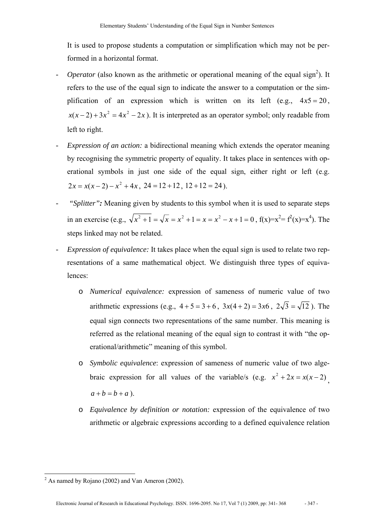It is used to propose students a computation or simplification which may not be performed in a horizontal format.

- *- Operator* (also known as the arithmetic or operational meaning of the equal sign<sup>2</sup>). It refers to the use of the equal sign to indicate the answer to a computation or the simplification of an expression which is written on its left (e.g.,  $4x5 = 20$ ,  $x(x-2) + 3x^2 = 4x^2 - 2x$ . It is interpreted as an operator symbol; only readable from left to right.
- *- Expression of an action:* a bidirectional meaning which extends the operator meaning by recognising the symmetric property of equality. It takes place in sentences with operational symbols in just one side of the equal sign, either right or left (e.g.  $2x = x(x-2) - x^2 + 4x$ ,  $24 = 12 + 12$ ,  $12 + 12 = 24$ ).
- *"Splitter":* Meaning given by students to this symbol when it is used to separate steps in an exercise (e.g.,  $\sqrt{x^2 + 1} = \sqrt{x} = x^2 + 1 = x = x^2 - x + 1 = 0$ ,  $f(x)=x^2 = f^2(x)=x^4$ ). The steps linked may not be related.
- *- Expression of equivalence:* It takes place when the equal sign is used to relate two representations of a same mathematical object. We distinguish three types of equivalences:
	- o *Numerical equivalence:* expression of sameness of numeric value of two arithmetic expressions (e.g.,  $4 + 5 = 3 + 6$ ,  $3x(4 + 2) = 3x6$ ,  $2\sqrt{3} = \sqrt{12}$ ). The equal sign connects two representations of the same number. This meaning is referred as the relational meaning of the equal sign to contrast it with "the operational/arithmetic" meaning of this symbol.
	- o *Symbolic equivalence*: expression of sameness of numeric value of two algebraic expression for all values of the variable/s (e.g.  $x^2 + 2x = x(x-2)$ ,  $a + b = b + a$ ).
	- o *Equivalence by definition or notation:* expression of the equivalence of two arithmetic or algebraic expressions according to a defined equivalence relation

<sup>&</sup>lt;sup>2</sup> As named by Rojano (2002) and Van Ameron (2002).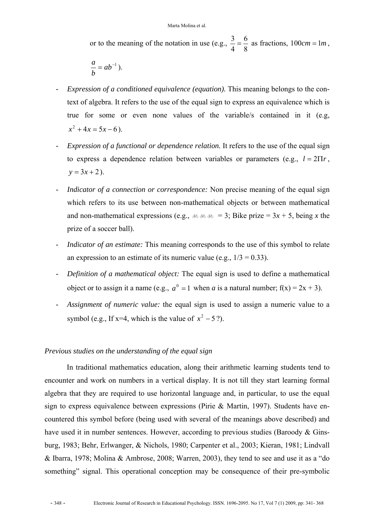or to the meaning of the notation in use (e.g.,  $\frac{3}{4} = \frac{6}{8}$ 4  $\frac{3}{4} = \frac{6}{8}$  as fractions,  $100cm = 1m$ ,

$$
\frac{a}{b}=ab^{-1}.
$$

- *- Expression of a conditioned equivalence (equation).* This meaning belongs to the context of algebra. It refers to the use of the equal sign to express an equivalence which is true for some or even none values of the variable/s contained in it (e.g,  $x^2 + 4x = 5x - 6$ ).
- *- Expression of a functional or dependence relation.* It refers to the use of the equal sign to express a dependence relation between variables or parameters (e.g.,  $l = 2\Pi r$ ,  $y = 3x + 2$ .
- *Indicator of a connection or correspondence:* Non precise meaning of the equal sign which refers to its use between non-mathematical objects or between mathematical and non-mathematical expressions (e.g.,  $\&$   $\&$   $\&$   $\&$  = 3; Bike prize = 3*x* + 5, being *x* the prize of a soccer ball).
- *- Indicator of an estimate:* This meaning corresponds to the use of this symbol to relate an expression to an estimate of its numeric value (e.g.,  $1/3 = 0.33$ ).
- *- Definition of a mathematical object:* The equal sign is used to define a mathematical object or to assign it a name (e.g.,  $a^0 = 1$  when *a* is a natural number;  $f(x) = 2x + 3$ ).
- *- Assignment of numeric value:* the equal sign is used to assign a numeric value to a symbol (e.g., If x=4, which is the value of  $x^2 - 5$ ?).

#### *Previous studies on the understanding of the equal sign*

In traditional mathematics education, along their arithmetic learning students tend to encounter and work on numbers in a vertical display. It is not till they start learning formal algebra that they are required to use horizontal language and, in particular, to use the equal sign to express equivalence between expressions (Pirie & Martin, 1997). Students have encountered this symbol before (being used with several of the meanings above described) and have used it in number sentences. However, according to previous studies (Baroody & Ginsburg, 1983; Behr, Erlwanger, & Nichols, 1980; Carpenter et al., 2003; Kieran, 1981; Lindvall & Ibarra, 1978; Molina & Ambrose, 2008; Warren, 2003), they tend to see and use it as a "do something" signal. This operational conception may be consequence of their pre-symbolic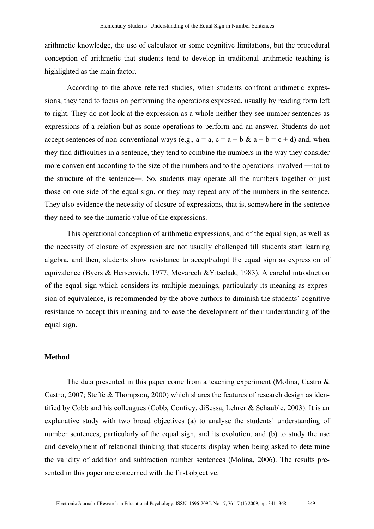arithmetic knowledge, the use of calculator or some cognitive limitations, but the procedural conception of arithmetic that students tend to develop in traditional arithmetic teaching is highlighted as the main factor.

According to the above referred studies, when students confront arithmetic expressions, they tend to focus on performing the operations expressed, usually by reading form left to right. They do not look at the expression as a whole neither they see number sentences as expressions of a relation but as some operations to perform and an answer. Students do not accept sentences of non-conventional ways (e.g.,  $a = a$ ,  $c = a \pm b \& a \pm b = c \pm d$ ) and, when they find difficulties in a sentence, they tend to combine the numbers in the way they consider more convenient according to the size of the numbers and to the operations involved ―not to the structure of the sentence―. So, students may operate all the numbers together or just those on one side of the equal sign, or they may repeat any of the numbers in the sentence. They also evidence the necessity of closure of expressions, that is, somewhere in the sentence they need to see the numeric value of the expressions.

This operational conception of arithmetic expressions, and of the equal sign, as well as the necessity of closure of expression are not usually challenged till students start learning algebra, and then, students show resistance to accept/adopt the equal sign as expression of equivalence (Byers & Herscovich, 1977; Mevarech &Yitschak, 1983). A careful introduction of the equal sign which considers its multiple meanings, particularly its meaning as expression of equivalence, is recommended by the above authors to diminish the students' cognitive resistance to accept this meaning and to ease the development of their understanding of the equal sign.

#### **Method**

The data presented in this paper come from a teaching experiment (Molina, Castro & Castro, 2007; Steffe & Thompson, 2000) which shares the features of research design as identified by Cobb and his colleagues (Cobb, Confrey, diSessa, Lehrer & Schauble, 2003). It is an explanative study with two broad objectives (a) to analyse the students´ understanding of number sentences, particularly of the equal sign, and its evolution, and (b) to study the use and development of relational thinking that students display when being asked to determine the validity of addition and subtraction number sentences (Molina, 2006). The results presented in this paper are concerned with the first objective.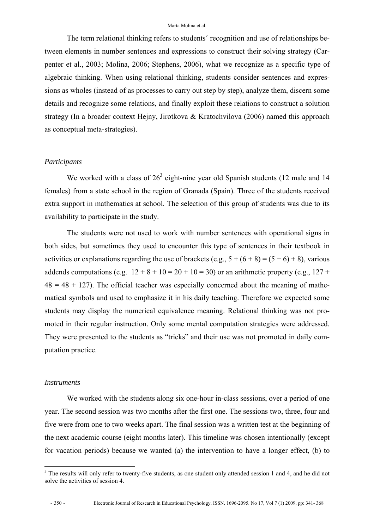The term relational thinking refers to students´ recognition and use of relationships between elements in number sentences and expressions to construct their solving strategy (Carpenter et al., 2003; Molina, 2006; Stephens, 2006), what we recognize as a specific type of algebraic thinking. When using relational thinking, students consider sentences and expressions as wholes (instead of as processes to carry out step by step), analyze them, discern some details and recognize some relations, and finally exploit these relations to construct a solution strategy (In a broader context Hejny, Jirotkova & Kratochvilova (2006) named this approach as conceptual meta-strategies).

#### *Participants*

We worked with a class of  $26<sup>3</sup>$  eight-nine year old Spanish students (12 male and 14 females) from a state school in the region of Granada (Spain). Three of the students received extra support in mathematics at school. The selection of this group of students was due to its availability to participate in the study.

The students were not used to work with number sentences with operational signs in both sides, but sometimes they used to encounter this type of sentences in their textbook in activities or explanations regarding the use of brackets (e.g.,  $5 + (6 + 8) = (5 + 6) + 8$ ), various addends computations (e.g.  $12 + 8 + 10 = 20 + 10 = 30$ ) or an arithmetic property (e.g.,  $127 +$  $48 = 48 + 127$ ). The official teacher was especially concerned about the meaning of mathematical symbols and used to emphasize it in his daily teaching. Therefore we expected some students may display the numerical equivalence meaning. Relational thinking was not promoted in their regular instruction. Only some mental computation strategies were addressed. They were presented to the students as "tricks" and their use was not promoted in daily computation practice.

#### *Instruments*

We worked with the students along six one-hour in-class sessions, over a period of one year. The second session was two months after the first one. The sessions two, three, four and five were from one to two weeks apart. The final session was a written test at the beginning of the next academic course (eight months later). This timeline was chosen intentionally (except for vacation periods) because we wanted (a) the intervention to have a longer effect, (b) to

 $\overline{a}$ 

 $3$  The results will only refer to twenty-five students, as one student only attended session 1 and 4, and he did not solve the activities of session 4.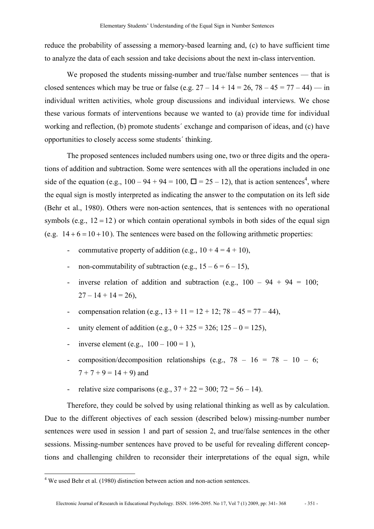reduce the probability of assessing a memory-based learning and, (c) to have sufficient time to analyze the data of each session and take decisions about the next in-class intervention.

We proposed the students missing-number and true/false number sentences — that is closed sentences which may be true or false (e.g.  $27 - 14 + 14 = 26$ ,  $78 - 45 = 77 - 44$ ) — in individual written activities, whole group discussions and individual interviews. We chose these various formats of interventions because we wanted to (a) provide time for individual working and reflection, (b) promote students´ exchange and comparison of ideas, and (c) have opportunities to closely access some students´ thinking.

The proposed sentences included numbers using one, two or three digits and the operations of addition and subtraction. Some were sentences with all the operations included in one side of the equation (e.g.,  $100 - 94 + 94 = 100$ ,  $\Box = 25 - 12$ ), that is action sentences<sup>4</sup>, where the equal sign is mostly interpreted as indicating the answer to the computation on its left side (Behr et al., 1980). Others were non-action sentences, that is sentences with no operational symbols (e.g.,  $12 = 12$ ) or which contain operational symbols in both sides of the equal sign (e.g.  $14 + 6 = 10 + 10$ ). The sentences were based on the following arithmetic properties:

- commutative property of addition (e.g.,  $10 + 4 = 4 + 10$ ),
- non-commutability of subtraction (e.g.,  $15 6 = 6 15$ ).
- inverse relation of addition and subtraction (e.g.,  $100 94 + 94 = 100$ ;  $27 - 14 + 14 = 26$ ,
- compensation relation (e.g.,  $13 + 11 = 12 + 12$ ;  $78 45 = 77 44$ ),
- unity element of addition (e.g.,  $0 + 325 = 326$ ;  $125 0 = 125$ ),
- inverse element (e.g.,  $100 100 = 1$ ),
- composition/decomposition relationships (e.g.,  $78 16 = 78 10 6$ ;  $7 + 7 + 9 = 14 + 9$ ) and
- relative size comparisons (e.g.,  $37 + 22 = 300$ ;  $72 = 56 14$ ).

Therefore, they could be solved by using relational thinking as well as by calculation. Due to the different objectives of each session (described below) missing-number number sentences were used in session 1 and part of session 2, and true/false sentences in the other sessions. Missing-number sentences have proved to be useful for revealing different conceptions and challenging children to reconsider their interpretations of the equal sign, while

 $\overline{a}$ 

<sup>&</sup>lt;sup>4</sup> We used Behr et al. (1980) distinction between action and non-action sentences.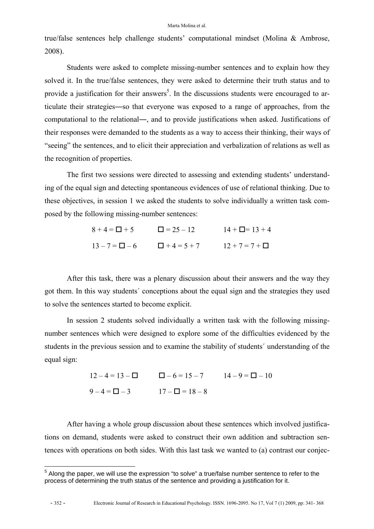true/false sentences help challenge students' computational mindset (Molina & Ambrose, 2008).

Students were asked to complete missing-number sentences and to explain how they solved it. In the true/false sentences, they were asked to determine their truth status and to provide a justification for their answers<sup>5</sup>. In the discussions students were encouraged to articulate their strategies―so that everyone was exposed to a range of approaches, from the computational to the relational―, and to provide justifications when asked. Justifications of their responses were demanded to the students as a way to access their thinking, their ways of "seeing" the sentences, and to elicit their appreciation and verbalization of relations as well as the recognition of properties.

The first two sessions were directed to assessing and extending students' understanding of the equal sign and detecting spontaneous evidences of use of relational thinking. Due to these objectives, in session 1 we asked the students to solve individually a written task composed by the following missing-number sentences:

| $8 + 4 = \Box + 5$     | $\Box = 25 - 12$   | $14 + \square = 13 + 4$ |
|------------------------|--------------------|-------------------------|
| $13 - 7 = \square - 6$ | $\Box$ + 4 = 5 + 7 | $12 + 7 = 7 + \Box$     |

After this task, there was a plenary discussion about their answers and the way they got them. In this way students´ conceptions about the equal sign and the strategies they used to solve the sentences started to become explicit.

In session 2 students solved individually a written task with the following missingnumber sentences which were designed to explore some of the difficulties evidenced by the students in the previous session and to examine the stability of students´ understanding of the equal sign:

| $12 - 4 = 13 - \Box$  | $\Box - 6 = 15 - 7$     | $14 - 9 = \Box - 10$ |
|-----------------------|-------------------------|----------------------|
| $9 - 4 = \square - 3$ | $17 - \square = 18 - 8$ |                      |

After having a whole group discussion about these sentences which involved justifications on demand, students were asked to construct their own addition and subtraction sentences with operations on both sides. With this last task we wanted to (a) contrast our conjec-

 5 Along the paper, we will use the expression "to solve" a true/false number sentence to refer to the process of determining the truth status of the sentence and providing a justification for it.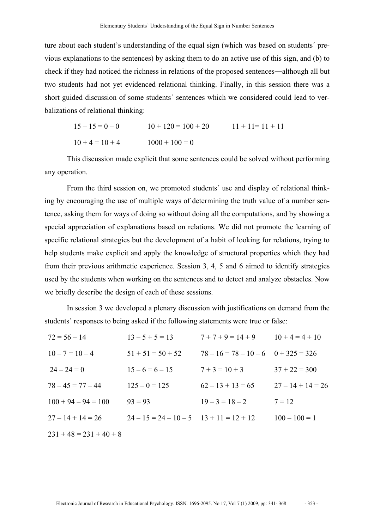ture about each student's understanding of the equal sign (which was based on students´ previous explanations to the sentences) by asking them to do an active use of this sign, and (b) to check if they had noticed the richness in relations of the proposed sentences―although all but two students had not yet evidenced relational thinking. Finally, in this session there was a short guided discussion of some students´ sentences which we considered could lead to verbalizations of relational thinking:

> $15 - 15 = 0 - 0$   $10 + 120 = 100 + 20$   $11 + 11 = 11 + 11$  $10 + 4 = 10 + 4$   $1000 + 100 = 0$

This discussion made explicit that some sentences could be solved without performing any operation.

From the third session on, we promoted students´ use and display of relational thinking by encouraging the use of multiple ways of determining the truth value of a number sentence, asking them for ways of doing so without doing all the computations, and by showing a special appreciation of explanations based on relations. We did not promote the learning of specific relational strategies but the development of a habit of looking for relations, trying to help students make explicit and apply the knowledge of structural properties which they had from their previous arithmetic experience. Session 3, 4, 5 and 6 aimed to identify strategies used by the students when working on the sentences and to detect and analyze obstacles. Now we briefly describe the design of each of these sessions.

In session 3 we developed a plenary discussion with justifications on demand from the students´ responses to being asked if the following statements were true or false:

| $72 = 56 - 14$            | $13 - 5 + 5 = 13$             | $7+7+9=14+9$                            | $10 + 4 = 4 + 10$   |
|---------------------------|-------------------------------|-----------------------------------------|---------------------|
| $10 - 7 = 10 - 4$         | $51 + 51 = 50 + 52$           | $78 - 16 = 78 - 10 - 6$ $0 + 325 = 326$ |                     |
| $24 - 24 = 0$             | $15 - 6 = 6 - 15$             | $7 + 3 = 10 + 3$                        | $37 + 22 = 300$     |
| $78 - 45 = 77 - 44$       | $125 - 0 = 125$               | $62 - 13 + 13 = 65$                     | $27 - 14 + 14 = 26$ |
| $100 + 94 - 94 = 100$     | $93 = 93$                     | $19 - 3 = 18 - 2$                       | $7 = 12$            |
| $27 - 14 + 14 = 26$       | $24-15=24-10-5$ $13+11=12+12$ |                                         | $100 - 100 = 1$     |
| $231 + 48 = 231 + 40 + 8$ |                               |                                         |                     |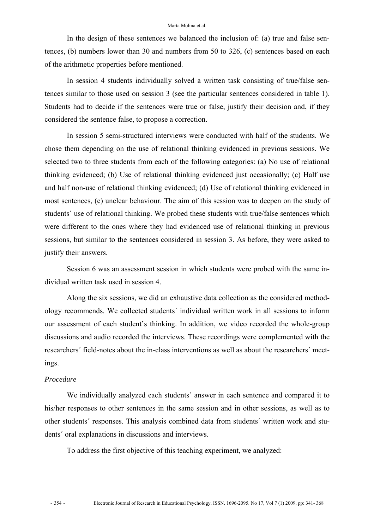In the design of these sentences we balanced the inclusion of: (a) true and false sentences, (b) numbers lower than 30 and numbers from 50 to 326, (c) sentences based on each of the arithmetic properties before mentioned.

In session 4 students individually solved a written task consisting of true/false sentences similar to those used on session 3 (see the particular sentences considered in table 1). Students had to decide if the sentences were true or false, justify their decision and, if they considered the sentence false, to propose a correction.

 In session 5 semi-structured interviews were conducted with half of the students. We chose them depending on the use of relational thinking evidenced in previous sessions. We selected two to three students from each of the following categories: (a) No use of relational thinking evidenced; (b) Use of relational thinking evidenced just occasionally; (c) Half use and half non-use of relational thinking evidenced; (d) Use of relational thinking evidenced in most sentences, (e) unclear behaviour. The aim of this session was to deepen on the study of students´ use of relational thinking. We probed these students with true/false sentences which were different to the ones where they had evidenced use of relational thinking in previous sessions, but similar to the sentences considered in session 3. As before, they were asked to justify their answers.

Session 6 was an assessment session in which students were probed with the same individual written task used in session 4.

Along the six sessions, we did an exhaustive data collection as the considered methodology recommends. We collected students´ individual written work in all sessions to inform our assessment of each student's thinking. In addition, we video recorded the whole-group discussions and audio recorded the interviews. These recordings were complemented with the researchers´ field-notes about the in-class interventions as well as about the researchers´ meetings.

#### *Procedure*

We individually analyzed each students' answer in each sentence and compared it to his/her responses to other sentences in the same session and in other sessions, as well as to other students´ responses. This analysis combined data from students´ written work and students´ oral explanations in discussions and interviews.

To address the first objective of this teaching experiment, we analyzed: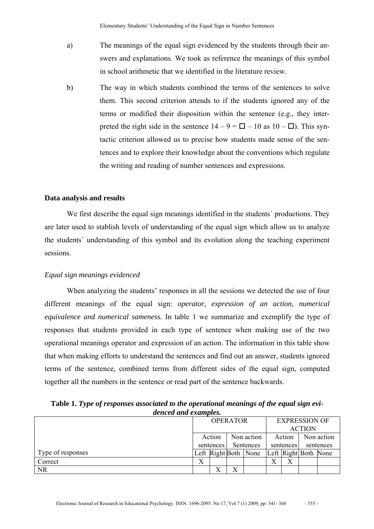- a) The meanings of the equal sign evidenced by the students through their answers and explanations. We took as reference the meanings of this symbol in school arithmetic that we identified in the literature review.
- b) The way in which students combined the terms of the sentences to solve them. This second criterion attends to if the students ignored any of the terms or modified their disposition within the sentence (e.g., they interpreted the right side in the sentence  $14 - 9 = \square - 10$  as  $10 - \square$ ). This syntactic criterion allowed us to precise how students made sense of the sentences and to explore their knowledge about the conventions which regulate the writing and reading of number sentences and expressions.

#### **Data analysis and results**

We first describe the equal sign meanings identified in the students´ productions. They are later used to stablish levels of understanding of the equal sign which allow us to analyze the students´ understanding of this symbol and its evolution along the teaching experiment sessions.

#### *Equal sign meanings evidenced*

When analyzing the students' responses in all the sessions we detected the use of four different meanings of the equal sign: *operator, expression of an action, numerical equivalence and numerical sameness.* In table 1 we summarize and exemplify the type of responses that students provided in each type of sentence when making use of the two operational meanings operator and expression of an action. The information in this table show that when making efforts to understand the sentences and find out an answer, students ignored terms of the sentence, combined terms from different sides of the equal sign, computed together all the numbers in the sentence or read part of the sentence backwards.

**Table 1.** *Type of responses associated to the operational meanings of the equal sign evidenced and examples.*

|                   | <b>OPERATOR</b><br>Non action<br>Action |   |              | <b>EXPRESSION OF</b> |           |            |                      |  |
|-------------------|-----------------------------------------|---|--------------|----------------------|-----------|------------|----------------------|--|
|                   |                                         |   |              | <b>ACTION</b>        |           |            |                      |  |
|                   |                                         |   |              | Action               |           | Non action |                      |  |
|                   | sentences                               |   | Sentences    |                      | sentences |            | sentences            |  |
| Type of responses |                                         |   |              | Left Right Both None |           |            | Left Right Both None |  |
| Correct           | Χ                                       |   |              |                      |           |            |                      |  |
| <b>NR</b>         |                                         | v | $\mathbf{v}$ |                      |           |            |                      |  |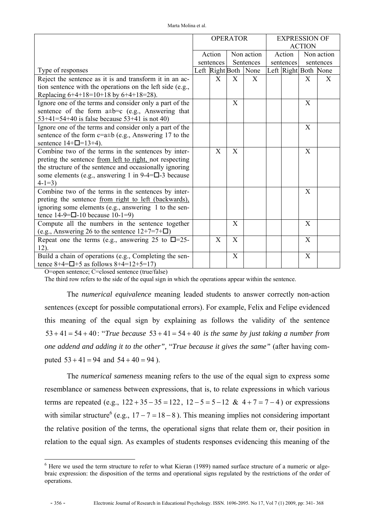|                                                                         |           | <b>OPERATOR</b> |                      |           | <b>EXPRESSION OF</b> |            |
|-------------------------------------------------------------------------|-----------|-----------------|----------------------|-----------|----------------------|------------|
|                                                                         |           |                 |                      |           | <b>ACTION</b>        |            |
|                                                                         | Action    |                 | Non action           | Action    |                      | Non action |
|                                                                         | sentences |                 | Sentences            | sentences |                      | sentences  |
| Type of responses                                                       |           |                 | Left Right Both None |           | Left Right Both None |            |
| Reject the sentence as it is and transform it in an ac-                 | X         | X               | X                    |           | X                    | X          |
| tion sentence with the operations on the left side (e.g.,               |           |                 |                      |           |                      |            |
| Replacing 6+4+18=10+18 by 6+4+18=28).                                   |           |                 |                      |           |                      |            |
| Ignore one of the terms and consider only a part of the                 |           | X               |                      |           | X                    |            |
| sentence of the form $a \pm b = c$ (e.g., Answering that                |           |                 |                      |           |                      |            |
| $53+41=54+40$ is false because $53+41$ is not 40)                       |           |                 |                      |           |                      |            |
| Ignore one of the terms and consider only a part of the                 |           |                 |                      |           | $\mathbf{X}$         |            |
| sentence of the form $c=a \pm b$ (e.g., Answering 17 to the             |           |                 |                      |           |                      |            |
| sentence $14 + \square = 13 + 4$ .                                      |           |                 |                      |           |                      |            |
| Combine two of the terms in the sentences by inter-                     | X         | X               |                      |           | X                    |            |
| preting the sentence from left to right, not respecting                 |           |                 |                      |           |                      |            |
| the structure of the sentence and occasionally ignoring                 |           |                 |                      |           |                      |            |
| some elements (e.g., answering 1 in $9-4=\square-3$ because             |           |                 |                      |           |                      |            |
| $4-1=3$                                                                 |           |                 |                      |           |                      |            |
| Combine two of the terms in the sentences by inter-                     |           |                 |                      |           | X                    |            |
| preting the sentence from right to left (backwards),                    |           |                 |                      |           |                      |            |
| ignoring some elements (e.g., answering 1 to the sen-                   |           |                 |                      |           |                      |            |
| tence $14-9=$ $\Box$ -10 because $10-1=9$ )                             |           |                 |                      |           |                      |            |
| Compute all the numbers in the sentence together                        |           | X               |                      |           | X                    |            |
| (e.g., Answering 26 to the sentence $12+7=7+$ <b><math>\Box</math>)</b> |           |                 |                      |           |                      |            |
| Repeat one the terms (e.g., answering 25 to $\Box$ =25-                 | X         | X               |                      |           | X                    |            |
| $12$ ).                                                                 |           |                 |                      |           |                      |            |
| Build a chain of operations (e.g., Completing the sen-                  |           | X               |                      |           | X                    |            |
| tence $8+4=$ $\Box$ +5 as follows $8+4=12+5=17$ )                       |           |                 |                      |           |                      |            |

O=open sentence; C=closed sentence (true/false)

The third row refers to the side of the equal sign in which the operations appear within the sentence.

The *numerical equivalence* meaning leaded students to answer correctly non-action sentences (except for possible computational errors). For example, Felix and Felipe evidenced this meaning of the equal sign by explaining as follows the validity of the sentence 53 + 41 = 54 + 40 : "*True because* 53 + 41 = 54 + 40 *is the same by just taking a number from one addend and adding it to the other",* "*True because it gives the same"* (after having computed  $53 + 41 = 94$  and  $54 + 40 = 94$ ).

The *numerical sameness* meaning refers to the use of the equal sign to express some resemblance or sameness between expressions, that is, to relate expressions in which various terms are repeated (e.g.,  $122 + 35 - 35 = 122$ ,  $12 - 5 = 5 - 12$  &  $4 + 7 = 7 - 4$ ) or expressions with similar structure<sup>6</sup> (e.g.,  $17 - 7 = 18 - 8$ ). This meaning implies not considering important the relative position of the terms, the operational signs that relate them or, their position in relation to the equal sign. As examples of students responses evidencing this meaning of the

 $\overline{a}$ 

<sup>&</sup>lt;sup>6</sup> Here we used the term structure to refer to what Kieran (1989) named surface structure of a numeric or algebraic expression: the disposition of the terms and operational signs regulated by the restrictions of the order of operations.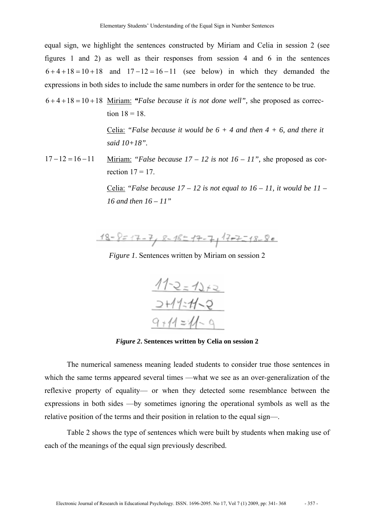equal sign, we highlight the sentences constructed by Miriam and Celia in session 2 (see figures 1 and 2) as well as their responses from session 4 and 6 in the sentences  $6 + 4 + 18 = 10 + 18$  and  $17 - 12 = 16 - 11$  (see below) in which they demanded the expressions in both sides to include the same numbers in order for the sentence to be true.

6 + 4 +18 = 10 +18 Miriam: *"False because it is not done well",* she proposed as correction  $18 = 18$ .

> Celia: *"False because it would be 6 + 4 and then 4 + 6, and there it said 10+18".*

17 −12 = 16 −11 Miriam: *"False because 17 – 12 is not 16 – 11",* she proposed as correction  $17 = 17$ .

> Celia: *"False because 17 – 12 is not equal to 16 – 11, it would be 11 – 16 and then 16 – 11"*

 $18 - 8 = 17 - 7$ ,  $8 - 18 = 17 - 7$ ,  $17 - 7 = 18 - 80$ 

*Figure 1*. Sentences written by Miriam on session 2



*Figure 2***. Sentences written by Celia on session 2** 

The numerical sameness meaning leaded students to consider true those sentences in which the same terms appeared several times —what we see as an over-generalization of the reflexive property of equality— or when they detected some resemblance between the expressions in both sides —by sometimes ignoring the operational symbols as well as the relative position of the terms and their position in relation to the equal sign—.

Table 2 shows the type of sentences which were built by students when making use of each of the meanings of the equal sign previously described.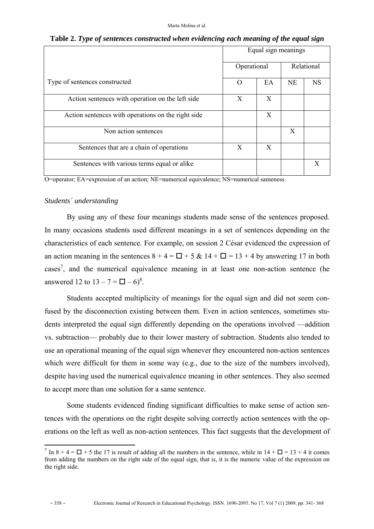|                                                    | Equal sign meanings |    |           |            |  |
|----------------------------------------------------|---------------------|----|-----------|------------|--|
|                                                    | Operational         |    |           | Relational |  |
| Type of sentences constructed                      | $\left( \right)$    | EA | <b>NE</b> | <b>NS</b>  |  |
| Action sentences with operation on the left side   | X                   | X  |           |            |  |
| Action sentences with operations on the right side |                     | X  |           |            |  |
| Non action sentences                               |                     |    | X         |            |  |
| Sentences that are a chain of operations           | X                   | X  |           |            |  |
| Sentences with various terms equal or alike        |                     |    |           | X          |  |

**Table 2.** *Type of sentences constructed when evidencing each meaning of the equal sign*

O=operator; EA=expression of an action; NE=numerical equivalence; NS=numerical sameness.

#### *Students´ understanding*

By using any of these four meanings students made sense of the sentences proposed. In many occasions students used different meanings in a set of sentences depending on the characteristics of each sentence. For example, on session 2 César evidenced the expression of an action meaning in the sentences  $8 + 4 = \Box + 5$  &  $14 + \Box = 13 + 4$  by answering 17 in both cases<sup>7</sup>, and the numerical equivalence meaning in at least one non-action sentence (he answered 12 to  $13 - 7 = \square - 6$ <sup>8</sup>.

Students accepted multiplicity of meanings for the equal sign and did not seem confused by the disconnection existing between them. Even in action sentences, sometimes students interpreted the equal sign differently depending on the operations involved —addition vs. subtraction— probably due to their lower mastery of subtraction. Students also tended to use an operational meaning of the equal sign whenever they encountered non-action sentences which were difficult for them in some way (e.g., due to the size of the numbers involved), despite having used the numerical equivalence meaning in other sentences. They also seemed to accept more than one solution for a same sentence.

Some students evidenced finding significant difficulties to make sense of action sentences with the operations on the right despite solving correctly action sentences with the operations on the left as well as non-action sentences. This fact suggests that the development of

 $\overline{a}$ 

<sup>&</sup>lt;sup>7</sup> In 8 + 4 =  $\Box$  + 5 the 17 is result of adding all the numbers in the sentence, while in 14 +  $\Box$  = 13 + 4 it comes from adding the numbers on the right side of the equal sign, that is, it is the numeric value of the expression on the right side.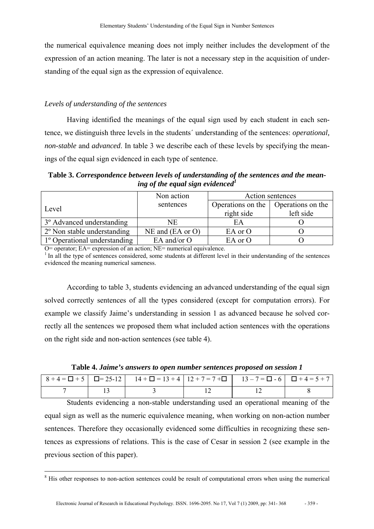the numerical equivalence meaning does not imply neither includes the development of the expression of an action meaning. The later is not a necessary step in the acquisition of understanding of the equal sign as the expression of equivalence.

#### *Levels of understanding of the sentences*

Having identified the meanings of the equal sign used by each student in each sentence, we distinguish three levels in the students´ understanding of the sentences: *operational, non-stable* and *advanced*. In table 3 we describe each of these levels by specifying the meanings of the equal sign evidenced in each type of sentence.

**Table 3.** *Correspondence between levels of understanding of the sentences and the meaning of the equal sign evidenced1* 

|                                       | Non action             |                   | Action sentences  |
|---------------------------------------|------------------------|-------------------|-------------------|
| Level                                 | sentences              | Operations on the | Operations on the |
|                                       |                        | right side        | left side         |
| 3 <sup>°</sup> Advanced understanding | NE                     | EA                |                   |
| 2° Non stable understanding           | $NE$ and $(EA$ or $O)$ | EA or O           |                   |
| 1° Operational understanding          | EA and/or $O$          | EA or O           |                   |

O= operator; EA= expression of an action; NE= numerical equivalence.

<sup>1</sup> In all the type of sentences considered, some students at different level in their understanding of the sentences evidenced the meaning numerical sameness.

According to table 3, students evidencing an advanced understanding of the equal sign solved correctly sentences of all the types considered (except for computation errors). For example we classify Jaime's understanding in session 1 as advanced because he solved correctly all the sentences we proposed them what included action sentences with the operations on the right side and non-action sentences (see table 4).

|  | $8+4=$ $\Box$ + 5 $\Box$ = 25-12 $\Box$ 14 + $\Box$ = 13 + 4 $\Box$ 12 + 7 = 7 + $\Box$ $\Box$ 13 - 7 = $\Box$ - 6 $\Box$ + 4 = 5 + 7 |  |  |
|--|---------------------------------------------------------------------------------------------------------------------------------------|--|--|
|  |                                                                                                                                       |  |  |

**Table 4.** *Jaime's answers to open number sentences proposed on session 1* 

Students evidencing a non-stable understanding used an operational meaning of the equal sign as well as the numeric equivalence meaning, when working on non-action number sentences. Therefore they occasionally evidenced some difficulties in recognizing these sentences as expressions of relations. This is the case of Cesar in session 2 (see example in the previous section of this paper).

 <sup>8</sup> <sup>8</sup> His other responses to non-action sentences could be result of computational errors when using the numerical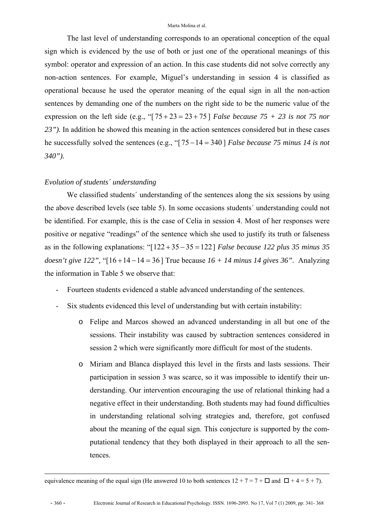The last level of understanding corresponds to an operational conception of the equal sign which is evidenced by the use of both or just one of the operational meanings of this symbol: operator and expression of an action. In this case students did not solve correctly any non-action sentences. For example, Miguel's understanding in session 4 is classified as operational because he used the operator meaning of the equal sign in all the non-action sentences by demanding one of the numbers on the right side to be the numeric value of the expression on the left side (e.g., "[ $75 + 23 = 23 + 75$ ] *False because*  $75 + 23$  *is not* 75 *nor 23").* In addition he showed this meaning in the action sentences considered but in these cases he successfully solved the sentences (e.g., "[75 −14 = 340 ] *False because 75 minus 14 is not 340").* 

#### *Evolution of students´ understanding*

We classified students' understanding of the sentences along the six sessions by using the above described levels (see table 5). In some occasions students´ understanding could not be identified. For example, this is the case of Celia in session 4. Most of her responses were positive or negative "readings" of the sentence which she used to justify its truth or falseness as in the following explanations: "[122 + 35 − 35 = 122] *False because 122 plus 35 minus 35 doesn't give 122",* "[16 +14 −14 = 36 ] True because *16 + 14 minus 14 gives 36".* Analyzing the information in Table 5 we observe that:

- Fourteen students evidenced a stable advanced understanding of the sentences.
- Six students evidenced this level of understanding but with certain instability:
	- o Felipe and Marcos showed an advanced understanding in all but one of the sessions. Their instability was caused by subtraction sentences considered in session 2 which were significantly more difficult for most of the students.
	- o Miriam and Blanca displayed this level in the firsts and lasts sessions. Their participation in session 3 was scarce, so it was impossible to identify their understanding. Our intervention encouraging the use of relational thinking had a negative effect in their understanding. Both students may had found difficulties in understanding relational solving strategies and, therefore, got confused about the meaning of the equal sign. This conjecture is supported by the computational tendency that they both displayed in their approach to all the sentences.

equivalence meaning of the equal sign (He answered 10 to both sentences  $12 + 7 = 7 + \square$  and  $\square + 4 = 5 + 7$ ).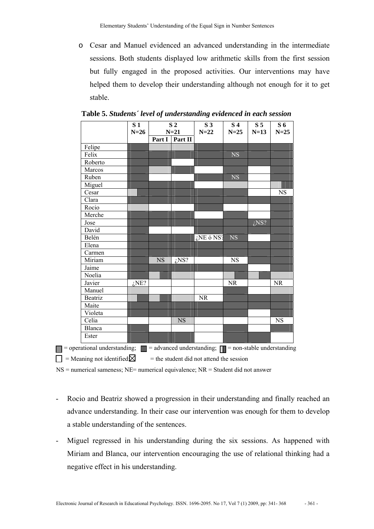o Cesar and Manuel evidenced an advanced understanding in the intermediate sessions. Both students displayed low arithmetic skills from the first session but fully engaged in the proposed activities. Our interventions may have helped them to develop their understanding although not enough for it to get stable.

|               | $N=26$  |           | $N=21$    | $N=22$       | $N=25$      | $N=13$  |
|---------------|---------|-----------|-----------|--------------|-------------|---------|
|               |         | Part I    | Part II   |              |             |         |
| Felipe        |         |           |           |              |             |         |
| Felix         |         |           |           |              | $_{\rm NS}$ |         |
| Roberto       |         |           |           |              |             |         |
| Marcos        |         |           |           |              |             |         |
| Ruben         |         |           |           |              | $_{\rm NS}$ |         |
| Miguel        |         |           |           |              |             |         |
| Cesar         |         |           |           |              |             |         |
| Clara         |         |           |           |              |             |         |
| Rocio         |         |           |           |              |             |         |
| Merche        |         |           |           |              |             |         |
| Jose          |         |           |           |              |             | $i$ NS? |
| David         |         |           |           |              |             |         |
| Belén         |         |           |           | $i$ NE ó NS? | <b>NS</b>   |         |
| Elena         |         |           |           |              |             |         |
| Carmen        |         |           |           |              |             |         |
| Miriam        |         | <b>NS</b> | $i$ NS?   |              | <b>NS</b>   |         |
| Jaime         |         |           |           |              |             |         |
| Noelia        |         |           |           |              |             |         |
| Javier        | $i$ NE? |           |           |              | NR          |         |
| Manuel        |         |           |           |              |             |         |
| Beatriz       |         |           |           | <b>NR</b>    |             |         |
| Maite         |         |           |           |              |             |         |
| Violeta       |         |           |           |              |             |         |
| Celia         |         |           | <b>NS</b> |              |             |         |
| <b>Blanca</b> |         |           |           |              |             |         |
| Ester         |         |           |           |              |             |         |

**Table 5.** *Students´ level of understanding evidenced in each session*

 $\Box$  = Meaning not identified  $\boxtimes$  = the student did not attend the session

NS = numerical sameness; NE= numerical equivalence; NR = Student did not answer

- Rocio and Beatriz showed a progression in their understanding and finally reached an advance understanding. In their case our intervention was enough for them to develop a stable understanding of the sentences.
- Miguel regressed in his understanding during the six sessions. As happened with Miriam and Blanca, our intervention encouraging the use of relational thinking had a negative effect in his understanding.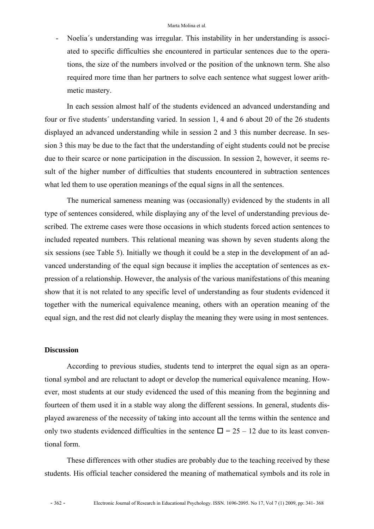- Noelia´s understanding was irregular. This instability in her understanding is associated to specific difficulties she encountered in particular sentences due to the operations, the size of the numbers involved or the position of the unknown term. She also required more time than her partners to solve each sentence what suggest lower arithmetic mastery.

In each session almost half of the students evidenced an advanced understanding and four or five students´ understanding varied. In session 1, 4 and 6 about 20 of the 26 students displayed an advanced understanding while in session 2 and 3 this number decrease. In session 3 this may be due to the fact that the understanding of eight students could not be precise due to their scarce or none participation in the discussion. In session 2, however, it seems result of the higher number of difficulties that students encountered in subtraction sentences what led them to use operation meanings of the equal signs in all the sentences.

The numerical sameness meaning was (occasionally) evidenced by the students in all type of sentences considered, while displaying any of the level of understanding previous described. The extreme cases were those occasions in which students forced action sentences to included repeated numbers. This relational meaning was shown by seven students along the six sessions (see Table 5). Initially we though it could be a step in the development of an advanced understanding of the equal sign because it implies the acceptation of sentences as expression of a relationship. However, the analysis of the various manifestations of this meaning show that it is not related to any specific level of understanding as four students evidenced it together with the numerical equivalence meaning, others with an operation meaning of the equal sign, and the rest did not clearly display the meaning they were using in most sentences.

#### **Discussion**

According to previous studies, students tend to interpret the equal sign as an operational symbol and are reluctant to adopt or develop the numerical equivalence meaning. However, most students at our study evidenced the used of this meaning from the beginning and fourteen of them used it in a stable way along the different sessions. In general, students displayed awareness of the necessity of taking into account all the terms within the sentence and only two students evidenced difficulties in the sentence  $\Box = 25 - 12$  due to its least conventional form.

These differences with other studies are probably due to the teaching received by these students. His official teacher considered the meaning of mathematical symbols and its role in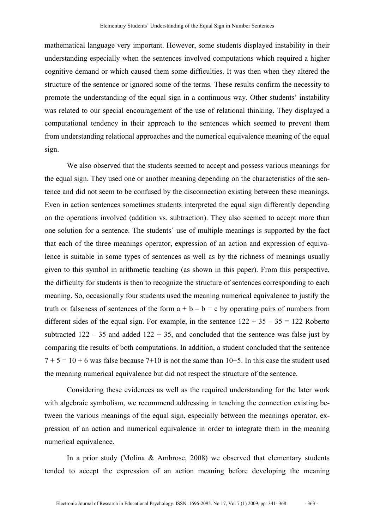mathematical language very important. However, some students displayed instability in their understanding especially when the sentences involved computations which required a higher cognitive demand or which caused them some difficulties. It was then when they altered the structure of the sentence or ignored some of the terms. These results confirm the necessity to promote the understanding of the equal sign in a continuous way. Other students' instability was related to our special encouragement of the use of relational thinking. They displayed a computational tendency in their approach to the sentences which seemed to prevent them from understanding relational approaches and the numerical equivalence meaning of the equal sign.

We also observed that the students seemed to accept and possess various meanings for the equal sign. They used one or another meaning depending on the characteristics of the sentence and did not seem to be confused by the disconnection existing between these meanings. Even in action sentences sometimes students interpreted the equal sign differently depending on the operations involved (addition vs. subtraction). They also seemed to accept more than one solution for a sentence. The students´ use of multiple meanings is supported by the fact that each of the three meanings operator, expression of an action and expression of equivalence is suitable in some types of sentences as well as by the richness of meanings usually given to this symbol in arithmetic teaching (as shown in this paper). From this perspective, the difficulty for students is then to recognize the structure of sentences corresponding to each meaning. So, occasionally four students used the meaning numerical equivalence to justify the truth or falseness of sentences of the form  $a + b - b = c$  by operating pairs of numbers from different sides of the equal sign. For example, in the sentence  $122 + 35 - 35 = 122$  Roberto subtracted  $122 - 35$  and added  $122 + 35$ , and concluded that the sentence was false just by comparing the results of both computations. In addition, a student concluded that the sentence  $7 + 5 = 10 + 6$  was false because 7+10 is not the same than 10+5. In this case the student used the meaning numerical equivalence but did not respect the structure of the sentence.

Considering these evidences as well as the required understanding for the later work with algebraic symbolism, we recommend addressing in teaching the connection existing between the various meanings of the equal sign, especially between the meanings operator, expression of an action and numerical equivalence in order to integrate them in the meaning numerical equivalence.

In a prior study (Molina & Ambrose, 2008) we observed that elementary students tended to accept the expression of an action meaning before developing the meaning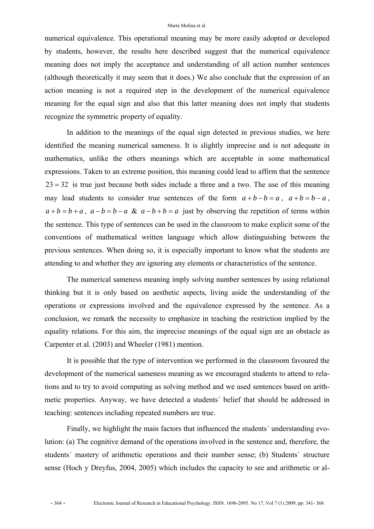numerical equivalence. This operational meaning may be more easily adopted or developed by students, however, the results here described suggest that the numerical equivalence meaning does not imply the acceptance and understanding of all action number sentences (although theoretically it may seem that it does.) We also conclude that the expression of an action meaning is not a required step in the development of the numerical equivalence meaning for the equal sign and also that this latter meaning does not imply that students recognize the symmetric property of equality.

In addition to the meanings of the equal sign detected in previous studies, we here identified the meaning numerical sameness. It is slightly imprecise and is not adequate in mathematics, unlike the others meanings which are acceptable in some mathematical expressions. Taken to an extreme position, this meaning could lead to affirm that the sentence  $23 = 32$  is true just because both sides include a three and a two. The use of this meaning may lead students to consider true sentences of the form  $a+b-b=a$ ,  $a+b=b-a$ ,  $a + b = b + a$ ,  $a - b = b - a$  &  $a - b + b = a$  just by observing the repetition of terms within the sentence. This type of sentences can be used in the classroom to make explicit some of the conventions of mathematical written language which allow distinguishing between the previous sentences. When doing so, it is especially important to know what the students are attending to and whether they are ignoring any elements or characteristics of the sentence.

The numerical sameness meaning imply solving number sentences by using relational thinking but it is only based on aesthetic aspects, living aside the understanding of the operations or expressions involved and the equivalence expressed by the sentence. As a conclusion, we remark the necessity to emphasize in teaching the restriction implied by the equality relations. For this aim, the imprecise meanings of the equal sign are an obstacle as Carpenter et al. (2003) and Wheeler (1981) mention.

It is possible that the type of intervention we performed in the classroom favoured the development of the numerical sameness meaning as we encouraged students to attend to relations and to try to avoid computing as solving method and we used sentences based on arithmetic properties. Anyway, we have detected a students´ belief that should be addressed in teaching: sentences including repeated numbers are true.

Finally, we highlight the main factors that influenced the students´ understanding evolution: (a) The cognitive demand of the operations involved in the sentence and, therefore, the students´ mastery of arithmetic operations and their number sense; (b) Students´ structure sense (Hoch y Dreyfus, 2004, 2005) which includes the capacity to see and arithmetic or al-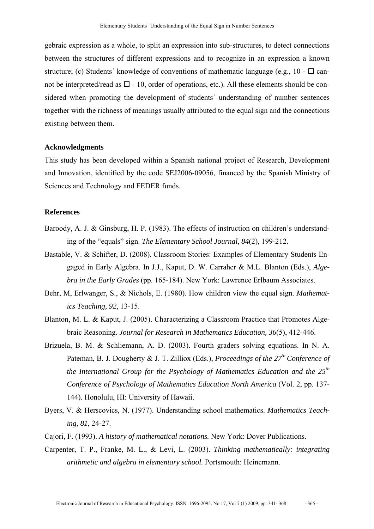gebraic expression as a whole, to split an expression into sub-structures, to detect connections between the structures of different expressions and to recognize in an expression a known structure; (c) Students' knowledge of conventions of mathematic language (e.g.,  $10 - \Box$  cannot be interpreted/read as  $\square$  - 10, order of operations, etc.). All these elements should be considered when promoting the development of students´ understanding of number sentences together with the richness of meanings usually attributed to the equal sign and the connections existing between them.

#### **Acknowledgments**

This study has been developed within a Spanish national project of Research, Development and Innovation, identified by the code SEJ2006-09056, financed by the Spanish Ministry of Sciences and Technology and FEDER funds.

#### **References**

- Baroody, A. J. & Ginsburg, H. P. (1983). The effects of instruction on children's understanding of the "equals" sign. *The Elementary School Journal, 84*(2), 199-212.
- Bastable, V. & Schifter, D. (2008). Classroom Stories: Examples of Elementary Students Engaged in Early Algebra. In J.J., Kaput, D. W. Carraher & M.L. Blanton (Eds.), *Algebra in the Early Grades* (pp. 165-184). New York: Lawrence Erlbaum Associates.
- Behr, M, Erlwanger, S., & Nichols, E. (1980). How children view the equal sign. *Mathematics Teaching, 92*, 13-15.
- Blanton, M. L. & Kaput, J. (2005). Characterizing a Classroom Practice that Promotes Algebraic Reasoning. *Journal for Research in Mathematics Education, 36*(5), 412-446.
- Brizuela, B. M. & Schliemann, A. D. (2003). Fourth graders solving equations. In N. A. Pateman, B. J. Dougherty & J. T. Zilliox (Eds.), *Proceedings of the 27<sup>th</sup> Conference of the International Group for the Psychology of Mathematics Education and the 25th Conference of Psychology of Mathematics Education North America* (Vol. 2, pp. 137- 144). Honolulu, HI: University of Hawaii.
- Byers, V. & Herscovics, N. (1977). Understanding school mathematics. *Mathematics Teaching, 81*, 24-27.
- Cajori, F. (1993). *A history of mathematical notations.* New York: Dover Publications.
- Carpenter, T. P., Franke, M. L., & Levi, L. (2003). *Thinking mathematically: integrating arithmetic and algebra in elementary school.* Portsmouth: Heinemann.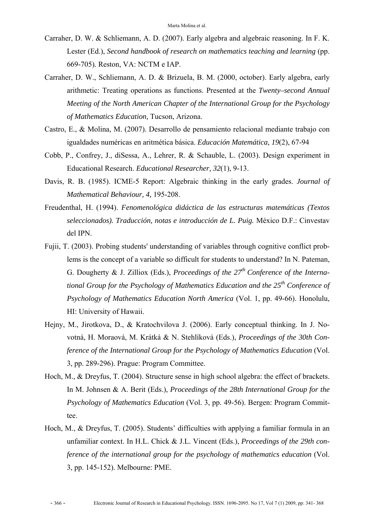- Carraher, D. W. & Schliemann, A. D. (2007). Early algebra and algebraic reasoning. In F. K. Lester (Ed.), *Second handbook of research on mathematics teaching and learning* (pp. 669-705)*.* Reston, VA: NCTM e IAP.
- Carraher, D. W., Schliemann, A. D. & Brizuela, B. M. (2000, october). Early algebra, early arithmetic: Treating operations as functions. Presented at the *Twenty–second Annual Meeting of the North American Chapter of the International Group for the Psychology of Mathematics Education,* Tucson, Arizona.
- Castro, E., & Molina, M. (2007). Desarrollo de pensamiento relacional mediante trabajo con igualdades numéricas en aritmética básica. *Educación Matemática, 19*(2), 67-94
- Cobb, P., Confrey, J., diSessa, A., Lehrer, R. & Schauble, L. (2003). Design experiment in Educational Research. *Educational Researcher, 32*(1), 9-13.
- Davis, R. B. (1985). ICME-5 Report: Algebraic thinking in the early grades. *Journal of Mathematical Behaviour, 4,* 195-208.
- Freudenthal, H. (1994). *Fenomenológica didáctica de las estructuras matemáticas (Textos seleccionados). Traducción, notas e introducción de L. Puig.* México D.F.: Cinvestav del IPN.
- Fujii, T. (2003). Probing students' understanding of variables through cognitive conflict problems is the concept of a variable so difficult for students to understand? In N. Pateman, G. Dougherty & J. Zilliox (Eds.), *Proceedings of the 27th Conference of the International Group for the Psychology of Mathematics Education and the 25<sup>th</sup> Conference of Psychology of Mathematics Education North America* (Vol. 1, pp. 49-66). Honolulu, HI: University of Hawaii.
- Hejny, M., Jirotkova, D., & Kratochvilova J. (2006). Early conceptual thinking. In J. Novotná, H. Moraová, M. Krátká & N. Stehlíková (Eds.), *Proceedings of the 30th Conference of the International Group for the Psychology of Mathematics Education (Vol.* 3, pp. 289-296). Prague: Program Committee.
- Hoch, M., & Dreyfus, T. (2004). Structure sense in high school algebra: the effect of brackets. In M. Johnsen & A. Berit (Eds.), *Proceedings of the 28th International Group for the Psychology of Mathematics Education* (Vol. 3, pp. 49-56). Bergen: Program Committee.
- Hoch, M., & Dreyfus, T. (2005). Students' difficulties with applying a familiar formula in an unfamiliar context. In H.L. Chick & J.L. Vincent (Eds.), *Proceedings of the 29th conference of the international group for the psychology of mathematics education* (Vol. 3, pp. 145-152). Melbourne: PME.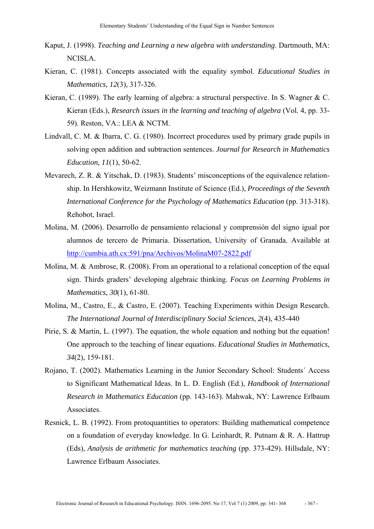- Kaput, J. (1998). *Teaching and Learning a new algebra with understanding*. Dartmouth, MA: NCISLA.
- Kieran, C. (1981). Concepts associated with the equality symbol. *Educational Studies in Mathematics, 12*(3), 317-326.
- Kieran, C. (1989). The early learning of algebra: a structural perspective. In S. Wagner & C. Kieran (Eds.), *Research issues in the learning and teaching of algebra* (Vol*.* 4, pp. 33- 59). Reston, VA.: LEA & NCTM.
- Lindvall, C. M. & Ibarra, C. G. (1980). Incorrect procedures used by primary grade pupils in solving open addition and subtraction sentences. *Journal for Research in Mathematics Education, 11*(1), 50-62.
- Mevarech, Z. R. & Yitschak, D. (1983). Students' misconceptions of the equivalence relationship. In Hershkowitz, Weizmann Institute of Science (Ed.), *Proceedings of the Seventh International Conference for the Psychology of Mathematics Education (pp. 313-318).* Rehobot, Israel.
- Molina, M. (2006). Desarrollo de pensamiento relacional y comprensión del signo igual por alumnos de tercero de Primaria. Dissertation, University of Granada. Available at http://cumbia.ath.cx:591/pna/Archivos/MolinaM07-2822.pdf
- Molina, M. & Ambrose, R. (2008). From an operational to a relational conception of the equal sign. Thirds graders' developing algebraic thinking. *Focus on Learning Problems in Mathematics, 30*(1), 61-80.
- Molina, M., Castro, E., & Castro, E. (2007). Teaching Experiments within Design Research. *The International Journal of Interdisciplinary Social Sciences*, *2*(4), 435-440
- Pirie, S. & Martin, L. (1997). The equation, the whole equation and nothing but the equation! One approach to the teaching of linear equations. *Educational Studies in Mathematics, 34*(2), 159-181.
- Rojano, T. (2002). Mathematics Learning in the Junior Secondary School: Students´ Access to Significant Mathematical Ideas. In L. D. English (Ed.), *Handbook of International Research in Mathematics Education* (pp. 143-163). Mahwak, NY: Lawrence Erlbaum Associates.
- Resnick, L. B. (1992). From protoquantities to operators: Building mathematical competence on a foundation of everyday knowledge. In G. Leinhardt, R. Putnam & R. A. Hattrup (Eds), *Analysis de arithmetic for mathematics teaching* (pp. 373-429). Hillsdale, NY: Lawrence Erlbaum Associates.